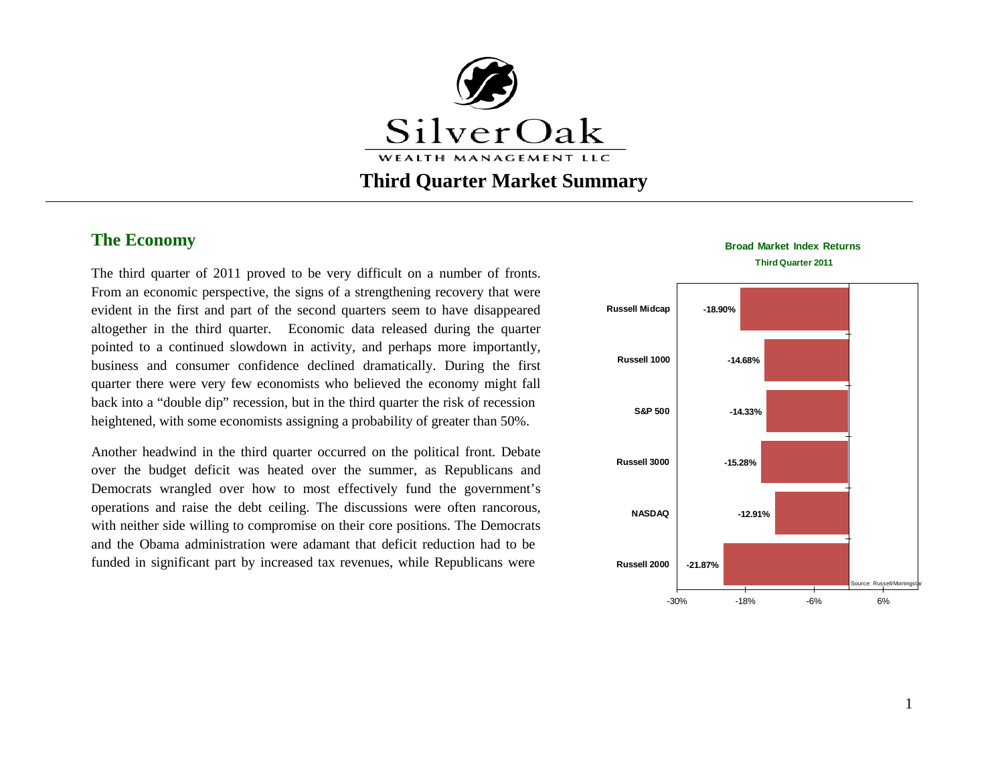

# **Third Quarter Market Summary**

## **The Economy**

The third quarter of 2011 proved to be very difficult on a number of fronts. From an economic perspective, the signs of a strengthening recovery that were evident in the first and part of the second quarters seem to have disappeared altogether in the third quarter. Economic data released during the quarter pointed to a continued slowdown in activity, and perhaps more importantly, business and consumer confidence declined dramatically. During the first quarter there were very few economists who believed the economy might fall back into a "double dip" recession, but in the third quarter the risk of recession heightened, with some economists assigning a probability of greater than 50%.

Another headwind in the third quarter occurred on the political front. Debate over the budget deficit was heated over the summer, as Republicans and Democrats wrangled over how to most effectively fund the government's operations and raise the debt ceiling. The discussions were often rancorous, with neither side willing to compromise on their core positions. The Democrats and the Obama administration were adamant that deficit reduction had to be funded in significant part by increased tax revenues, while Republicans were



#### **Broad Market Index Returns**

**Third Quarter 2011**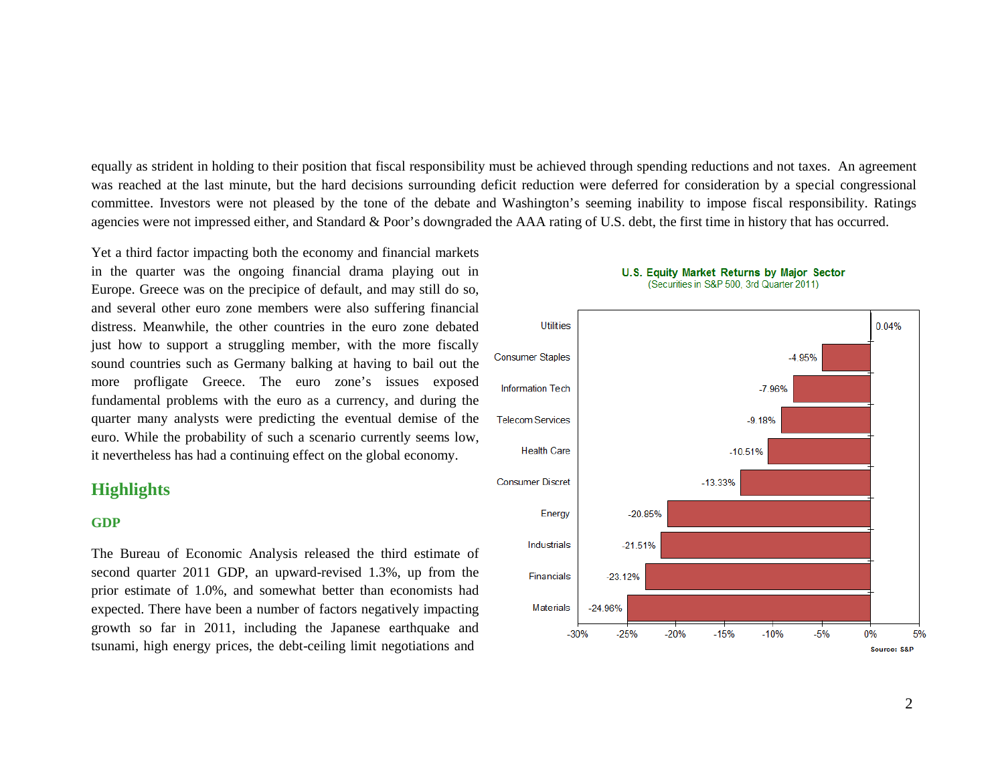equally as strident in holding to their position that fiscal responsibility must be achieved through spending reductions and not taxes. An agreement was reached at the last minute, but the hard decisions surrounding deficit reduction were deferred for consideration by a special congressional committee. Investors were not pleased by the tone of the debate and Washington's seeming inability to impose fiscal responsibility. Ratings agencies were not impressed either, and Standard & Poor's downgraded the AAA rating of U.S. debt, the first time in history that has occurred.

Yet a third factor impacting both the economy and financial markets in the quarter was the ongoing financial drama playing out in Europe. Greece was on the precipice of default, and may still do so, and several other euro zone members were also suffering financial distress. Meanwhile, the other countries in the euro zone debated just how to support a struggling member, with the more fiscally sound countries such as Germany balking at having to bail out the more profligate Greece. The euro zone's issues exposed fundamental problems with the euro as a currency, and during the quarter many analysts were predicting the eventual demise of the euro. While the probability of such a scenario currently seems low, it nevertheless has had a continuing effect on the global economy.

### **Highlights**

#### **GDP**

The Bureau of Economic Analysis released the third estimate of second quarter 2011 GDP, an upward-revised 1.3%, up from the prior estimate of 1.0%, and somewhat better than economists had expected. There have been a number of factors negatively impacting growth so far in 2011, including the Japanese earthquake and tsunami, high energy prices, the debt-ceiling limit negotiations and



#### U.S. Equity Market Returns by Major Sector (Securities in S&P 500, 3rd Quarter 2011)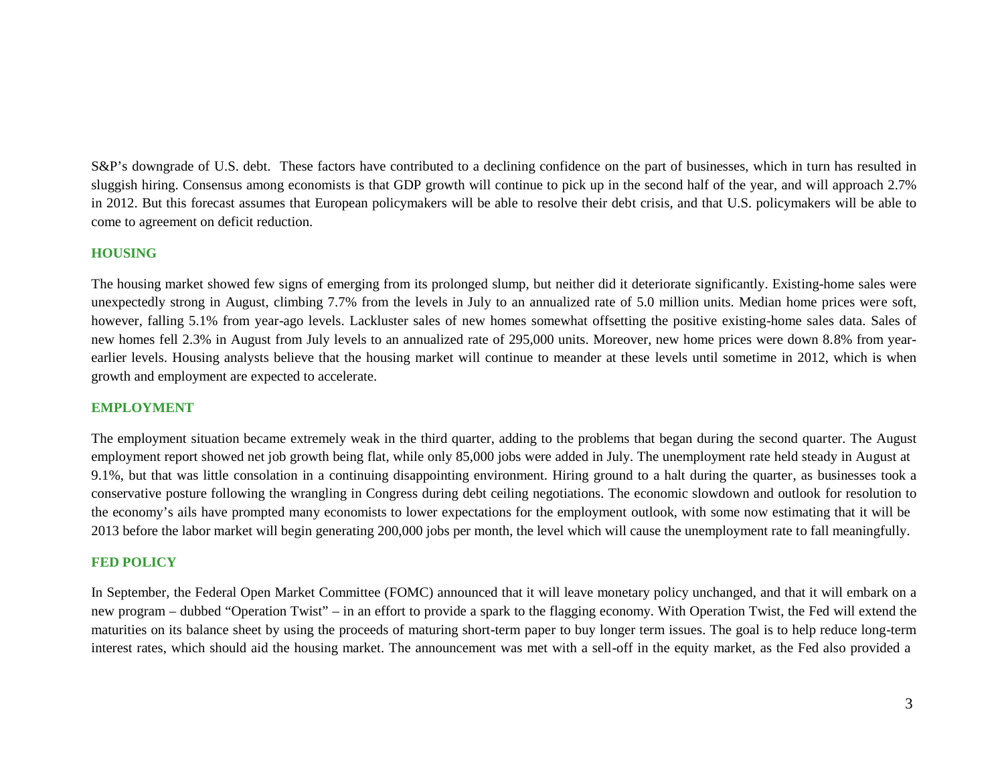S&P's downgrade of U.S. debt. These factors have contributed to a declining confidence on the part of businesses, which in turn has resulted in sluggish hiring. Consensus among economists is that GDP growth will continue to pick up in the second half of the year, and will approach 2.7% in 2012. But this forecast assumes that European policymakers will be able to resolve their debt crisis, and that U.S. policymakers will be able to come to agreement on deficit reduction.

### **HOUSING**

The housing market showed few signs of emerging from its prolonged slump, but neither did it deteriorate significantly. Existing-home sales were unexpectedly strong in August, climbing 7.7% from the levels in July to an annualized rate of 5.0 million units. Median home prices were soft, however, falling 5.1% from year-ago levels. Lackluster sales of new homes somewhat offsetting the positive existing-home sales data. Sales of new homes fell 2.3% in August from July levels to an annualized rate of 295,000 units. Moreover, new home prices were down 8.8% from yearearlier levels. Housing analysts believe that the housing market will continue to meander at these levels until sometime in 2012, which is when growth and employment are expected to accelerate.

### **EMPLOYMENT**

The employment situation became extremely weak in the third quarter, adding to the problems that began during the second quarter. The August employment report showed net job growth being flat, while only 85,000 jobs were added in July. The unemployment rate held steady in August at 9.1%, but that was little consolation in a continuing disappointing environment. Hiring ground to a halt during the quarter, as businesses took a conservative posture following the wrangling in Congress during debt ceiling negotiations. The economic slowdown and outlook for resolution to the economy's ails have prompted many economists to lower expectations for the employment outlook, with some now estimating that it will be 2013 before the labor market will begin generating 200,000 jobs per month, the level which will cause the unemployment rate to fall meaningfully.

### **FED POLICY**

In September, the Federal Open Market Committee (FOMC) announced that it will leave monetary policy unchanged, and that it will embark on a new program – dubbed "Operation Twist" – in an effort to provide a spark to the flagging economy. With Operation Twist, the Fed will extend the maturities on its balance sheet by using the proceeds of maturing short-term paper to buy longer term issues. The goal is to help reduce long-term interest rates, which should aid the housing market. The announcement was met with a sell-off in the equity market, as the Fed also provided a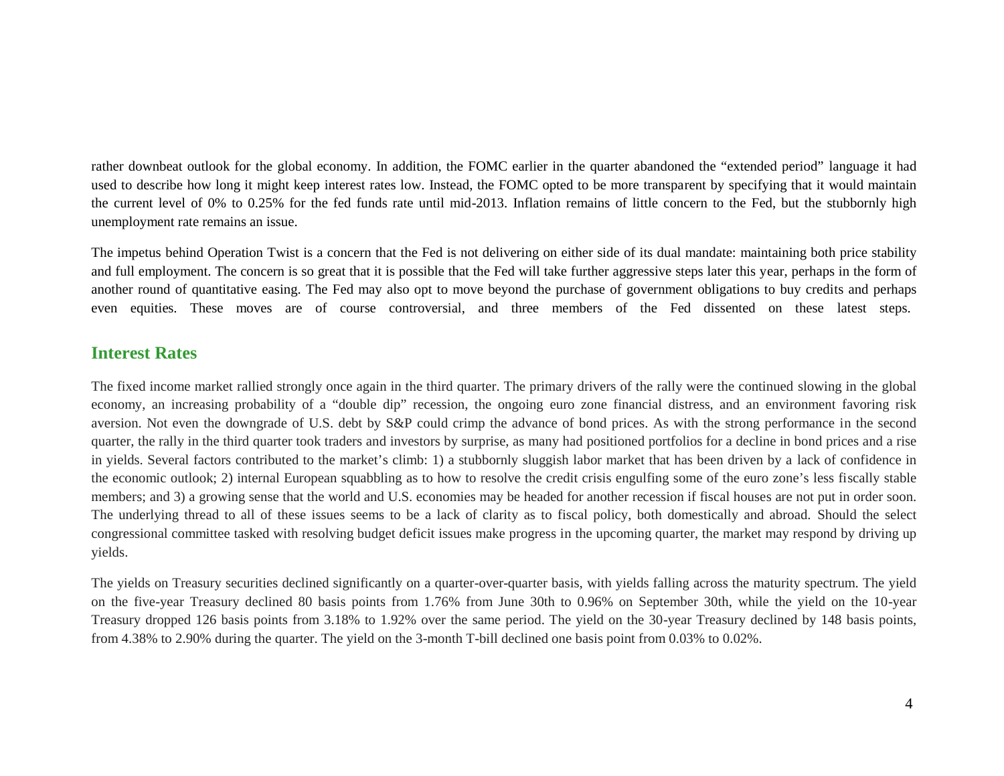rather downbeat outlook for the global economy. In addition, the FOMC earlier in the quarter abandoned the "extended period" language it had used to describe how long it might keep interest rates low. Instead, the FOMC opted to be more transparent by specifying that it would maintain the current level of 0% to 0.25% for the fed funds rate until mid-2013. Inflation remains of little concern to the Fed, but the stubbornly high unemployment rate remains an issue.

The impetus behind Operation Twist is a concern that the Fed is not delivering on either side of its dual mandate: maintaining both price stability and full employment. The concern is so great that it is possible that the Fed will take further aggressive steps later this year, perhaps in the form of another round of quantitative easing. The Fed may also opt to move beyond the purchase of government obligations to buy credits and perhaps even equities. These moves are of course controversial, and three members of the Fed dissented on these latest steps.

## **Interest Rates**

The fixed income market rallied strongly once again in the third quarter. The primary drivers of the rally were the continued slowing in the global economy, an increasing probability of a "double dip" recession, the ongoing euro zone financial distress, and an environment favoring risk aversion. Not even the downgrade of U.S. debt by S&P could crimp the advance of bond prices. As with the strong performance in the second quarter, the rally in the third quarter took traders and investors by surprise, as many had positioned portfolios for a decline in bond prices and a rise in yields. Several factors contributed to the market's climb: 1) a stubbornly sluggish labor market that has been driven by a lack of confidence in the economic outlook; 2) internal European squabbling as to how to resolve the credit crisis engulfing some of the euro zone's less fiscally stable members; and 3) a growing sense that the world and U.S. economies may be headed for another recession if fiscal houses are not put in order soon. The underlying thread to all of these issues seems to be a lack of clarity as to fiscal policy, both domestically and abroad. Should the select congressional committee tasked with resolving budget deficit issues make progress in the upcoming quarter, the market may respond by driving up yields.

The yields on Treasury securities declined significantly on a quarter-over-quarter basis, with yields falling across the maturity spectrum. The yield on the five-year Treasury declined 80 basis points from 1.76% from June 30th to 0.96% on September 30th, while the yield on the 10-year Treasury dropped 126 basis points from 3.18% to 1.92% over the same period. The yield on the 30-year Treasury declined by 148 basis points, from 4.38% to 2.90% during the quarter. The yield on the 3-month T-bill declined one basis point from 0.03% to 0.02%.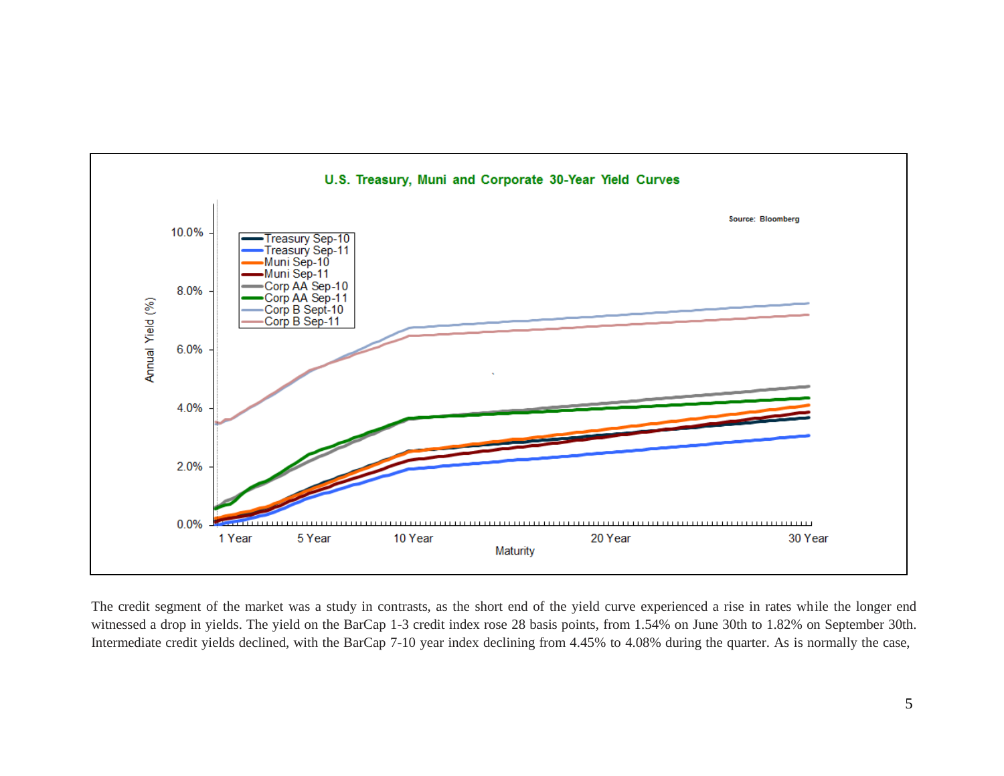

The credit segment of the market was a study in contrasts, as the short end of the yield curve experienced a rise in rates while the longer end witnessed a drop in yields. The yield on the BarCap 1-3 credit index rose 28 basis points, from 1.54% on June 30th to 1.82% on September 30th. Intermediate credit yields declined, with the BarCap 7-10 year index declining from 4.45% to 4.08% during the quarter. As is normally the case,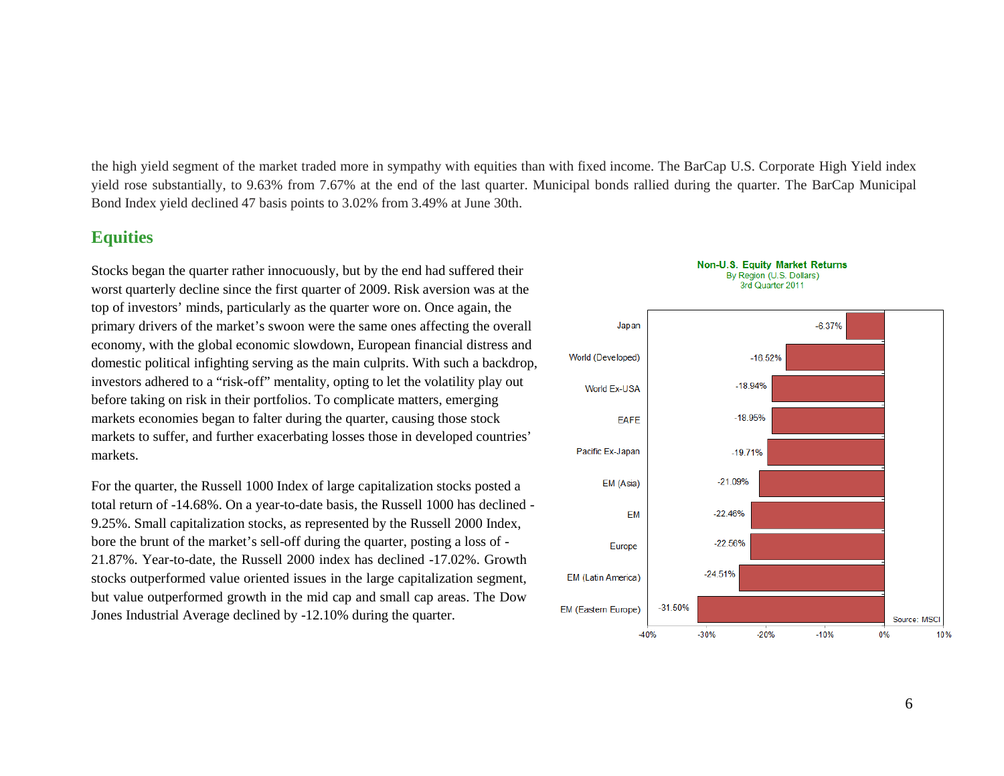the high yield segment of the market traded more in sympathy with equities than with fixed income. The BarCap U.S. Corporate High Yield index yield rose substantially, to 9.63% from 7.67% at the end of the last quarter. Municipal bonds rallied during the quarter. The BarCap Municipal Bond Index yield declined 47 basis points to 3.02% from 3.49% at June 30th.

### **Equities**

Stocks began the quarter rather innocuously, but by the end had suffered their worst quarterly decline since the first quarter of 2009. Risk aversion was at the top of investors' minds, particularly as the quarter wore on. Once again, the primary drivers of the market's swoon were the same ones affecting the overall economy, with the global economic slowdown, European financial distress and domestic political infighting serving as the main culprits. With such a backdrop, investors adhered to a "risk-off" mentality, opting to let the volatility play out before taking on risk in their portfolios. To complicate matters, emerging markets economies began to falter during the quarter, causing those stock markets to suffer, and further exacerbating losses those in developed countries' markets.

For the quarter, the Russell 1000 Index of large capitalization stocks posted a total return of -14.68%. On a year-to-date basis, the Russell 1000 has declined - 9.25%. Small capitalization stocks, as represented by the Russell 2000 Index, bore the brunt of the market's sell-off during the quarter, posting a loss of - 21.87%. Year-to-date, the Russell 2000 index has declined -17.02%. Growth stocks outperformed value oriented issues in the large capitalization segment, but value outperformed growth in the mid cap and small cap areas. The Dow Jones Industrial Average declined by -12.10% during the quarter.